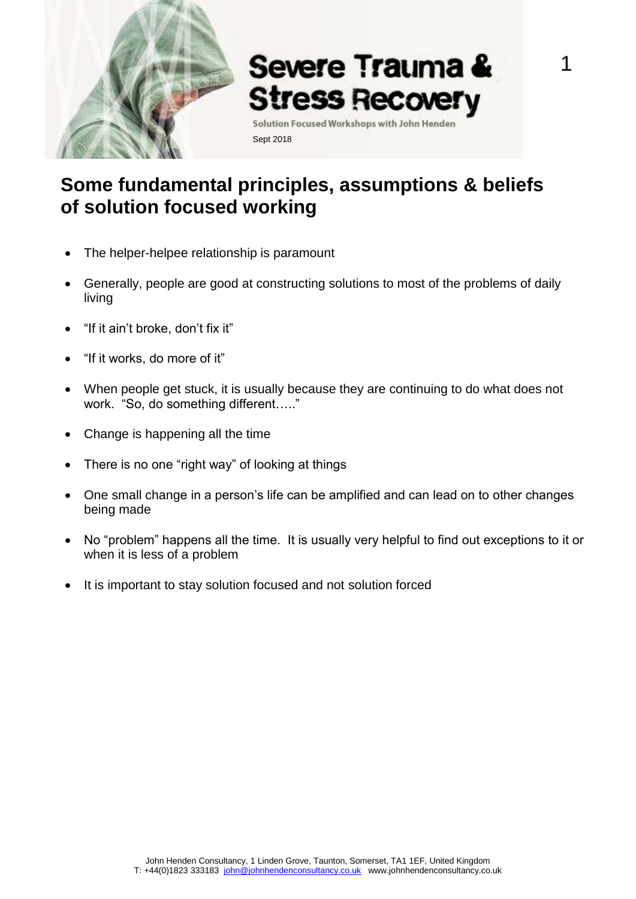

Solution Focused Workshops with John Henden Sept 2018

### **Some fundamental principles, assumptions & beliefs of solution focused working**

- The helper-helpee relationship is paramount
- Generally, people are good at constructing solutions to most of the problems of daily living
- "If it ain't broke, don't fix it"
- "If it works, do more of it"
- When people get stuck, it is usually because they are continuing to do what does not work. "So, do something different….."
- Change is happening all the time
- There is no one "right way" of looking at things
- One small change in a person's life can be amplified and can lead on to other changes being made
- No "problem" happens all the time. It is usually very helpful to find out exceptions to it or when it is less of a problem
- It is important to stay solution focused and not solution forced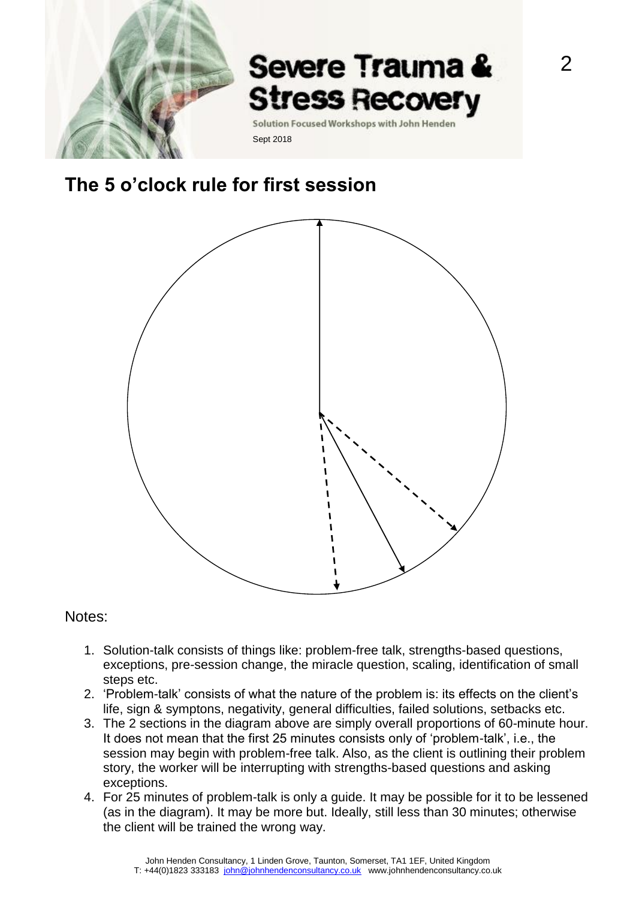



Solution Focused Workshops with John Henden Sept 2018

#### **The 5 o'clock rule for first session**



#### Notes:

- 1. Solution-talk consists of things like: problem-free talk, strengths-based questions, exceptions, pre-session change, the miracle question, scaling, identification of small steps etc.
- 2. 'Problem-talk' consists of what the nature of the problem is: its effects on the client's life, sign & symptons, negativity, general difficulties, failed solutions, setbacks etc.
- 3. The 2 sections in the diagram above are simply overall proportions of 60-minute hour. It does not mean that the first 25 minutes consists only of 'problem-talk', i.e., the session may begin with problem-free talk. Also, as the client is outlining their problem story, the worker will be interrupting with strengths-based questions and asking exceptions.
- 4. For 25 minutes of problem-talk is only a guide. It may be possible for it to be lessened (as in the diagram). It may be more but. Ideally, still less than 30 minutes; otherwise the client will be trained the wrong way.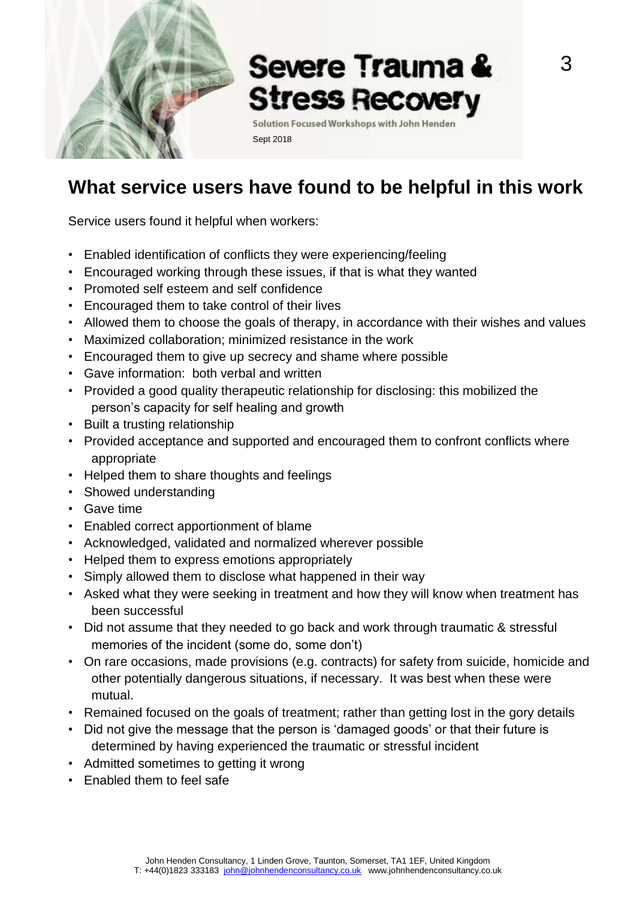

Solution Focused Workshops with John Henden Sept 2018

## **What service users have found to be helpful in this work**

Service users found it helpful when workers:

- Enabled identification of conflicts they were experiencing/feeling
- Encouraged working through these issues, if that is what they wanted
- Promoted self esteem and self confidence
- Encouraged them to take control of their lives
- Allowed them to choose the goals of therapy, in accordance with their wishes and values
- Maximized collaboration; minimized resistance in the work
- Encouraged them to give up secrecy and shame where possible
- Gave information: both verbal and written
- Provided a good quality therapeutic relationship for disclosing: this mobilized the person's capacity for self healing and growth
- Built a trusting relationship
- Provided acceptance and supported and encouraged them to confront conflicts where appropriate
- Helped them to share thoughts and feelings
- Showed understanding
- Gave time
- Enabled correct apportionment of blame
- Acknowledged, validated and normalized wherever possible
- Helped them to express emotions appropriately
- Simply allowed them to disclose what happened in their way
- Asked what they were seeking in treatment and how they will know when treatment has been successful
- Did not assume that they needed to go back and work through traumatic & stressful memories of the incident (some do, some don't)
- On rare occasions, made provisions (e.g. contracts) for safety from suicide, homicide and other potentially dangerous situations, if necessary. It was best when these were mutual.
- Remained focused on the goals of treatment; rather than getting lost in the gory details
- Did not give the message that the person is 'damaged goods' or that their future is determined by having experienced the traumatic or stressful incident
- Admitted sometimes to getting it wrong
- Enabled them to feel safe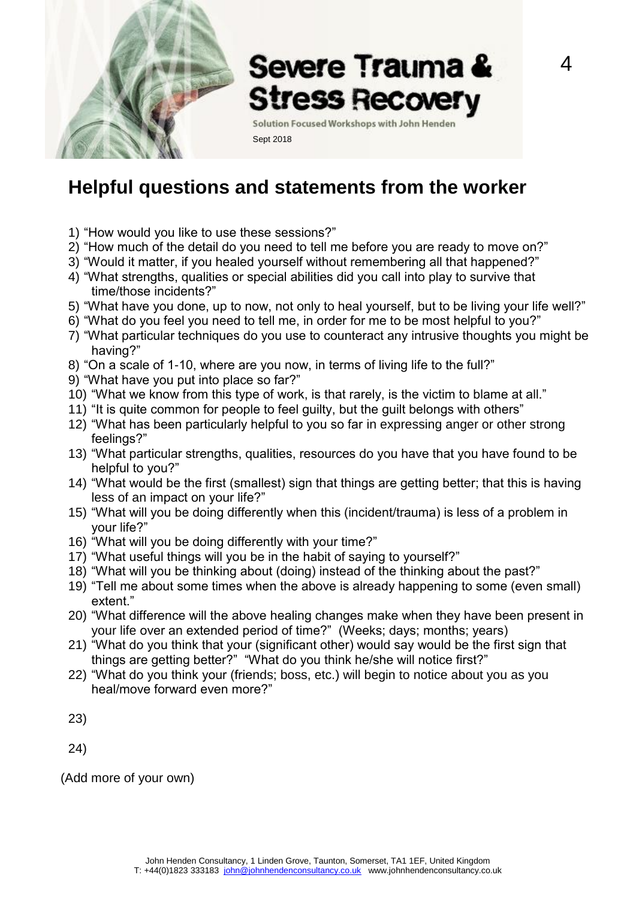

Solution Focused Workshops with John Henden Sept 2018

### **Helpful questions and statements from the worker**

- 1) "How would you like to use these sessions?"
- 2) "How much of the detail do you need to tell me before you are ready to move on?"
- 3) "Would it matter, if you healed yourself without remembering all that happened?"
- 4) "What strengths, qualities or special abilities did you call into play to survive that time/those incidents?"
- 5) "What have you done, up to now, not only to heal yourself, but to be living your life well?"
- 6) "What do you feel you need to tell me, in order for me to be most helpful to you?"
- 7) "What particular techniques do you use to counteract any intrusive thoughts you might be having?"
- 8) "On a scale of 1-10, where are you now, in terms of living life to the full?"
- 9) "What have you put into place so far?"
- 10) "What we know from this type of work, is that rarely, is the victim to blame at all."
- 11) "It is quite common for people to feel guilty, but the guilt belongs with others"
- 12) "What has been particularly helpful to you so far in expressing anger or other strong feelings?"
- 13) "What particular strengths, qualities, resources do you have that you have found to be helpful to you?"
- 14) "What would be the first (smallest) sign that things are getting better; that this is having less of an impact on your life?"
- 15) "What will you be doing differently when this (incident/trauma) is less of a problem in your life?"
- 16) "What will you be doing differently with your time?"
- 17) "What useful things will you be in the habit of saying to yourself?"
- 18) "What will you be thinking about (doing) instead of the thinking about the past?"
- 19) "Tell me about some times when the above is already happening to some (even small) extent."
- 20) "What difference will the above healing changes make when they have been present in your life over an extended period of time?" (Weeks; days; months; years)
- 21) "What do you think that your (significant other) would say would be the first sign that things are getting better?" "What do you think he/she will notice first?"
- 22) "What do you think your (friends; boss, etc.) will begin to notice about you as you heal/move forward even more?"

23)

24)

(Add more of your own)

John Henden Consultancy, 1 Linden Grove, Taunton, Somerset, TA1 1EF, United Kingdom T: +44(0)1823 333183 [john@johnhendenconsultancy.co.uk](mailto:john@johnhendenconsultancy.co.uk) www.johnhendenconsultancy.co.uk  $\boldsymbol{\varDelta}$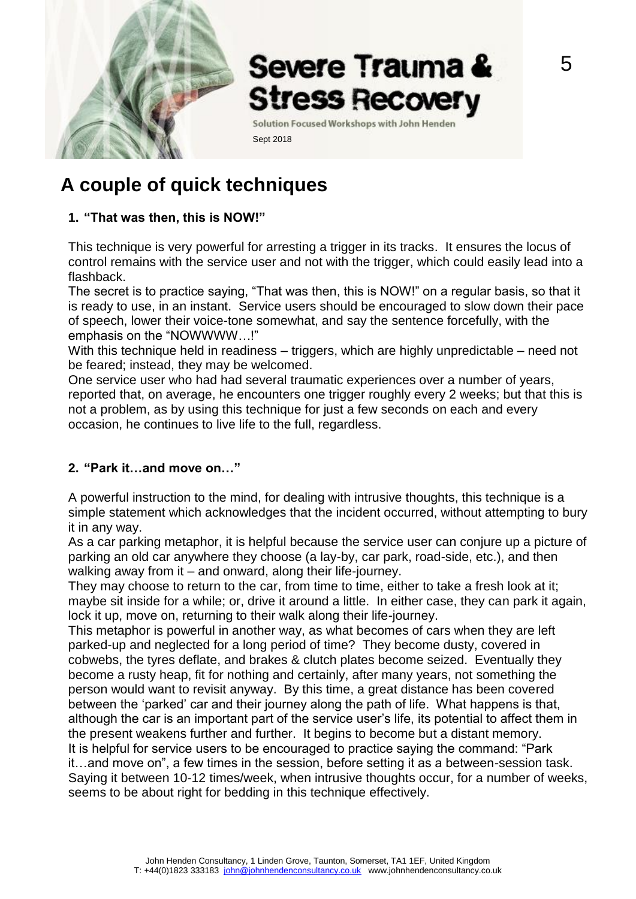

Solution Focused Workshops with John Henden Sept 2018

## **A couple of quick techniques**

#### **1. "That was then, this is NOW!"**

This technique is very powerful for arresting a trigger in its tracks. It ensures the locus of control remains with the service user and not with the trigger, which could easily lead into a flashback.

The secret is to practice saying, "That was then, this is NOW!" on a regular basis, so that it is ready to use, in an instant. Service users should be encouraged to slow down their pace of speech, lower their voice-tone somewhat, and say the sentence forcefully, with the emphasis on the "NOWWWW…!"

With this technique held in readiness – triggers, which are highly unpredictable – need not be feared; instead, they may be welcomed.

One service user who had had several traumatic experiences over a number of years, reported that, on average, he encounters one trigger roughly every 2 weeks; but that this is not a problem, as by using this technique for just a few seconds on each and every occasion, he continues to live life to the full, regardless.

#### **2. "Park it…and move on…"**

A powerful instruction to the mind, for dealing with intrusive thoughts, this technique is a simple statement which acknowledges that the incident occurred, without attempting to bury it in any way.

As a car parking metaphor, it is helpful because the service user can conjure up a picture of parking an old car anywhere they choose (a lay-by, car park, road-side, etc.), and then walking away from it – and onward, along their life-journey.

They may choose to return to the car, from time to time, either to take a fresh look at it; maybe sit inside for a while; or, drive it around a little. In either case, they can park it again, lock it up, move on, returning to their walk along their life-journey.

This metaphor is powerful in another way, as what becomes of cars when they are left parked-up and neglected for a long period of time? They become dusty, covered in cobwebs, the tyres deflate, and brakes & clutch plates become seized. Eventually they become a rusty heap, fit for nothing and certainly, after many years, not something the person would want to revisit anyway. By this time, a great distance has been covered between the 'parked' car and their journey along the path of life. What happens is that, although the car is an important part of the service user's life, its potential to affect them in the present weakens further and further. It begins to become but a distant memory. It is helpful for service users to be encouraged to practice saying the command: "Park it…and move on", a few times in the session, before setting it as a between-session task. Saying it between 10-12 times/week, when intrusive thoughts occur, for a number of weeks, seems to be about right for bedding in this technique effectively.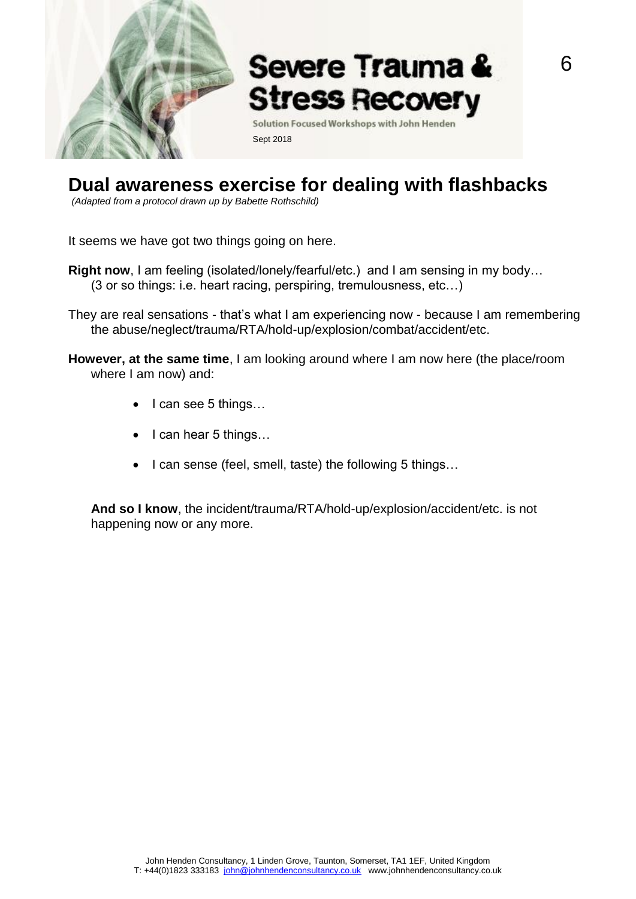

Solution Focused Workshops with John Henden Sept 2018

## **Dual awareness exercise for dealing with flashbacks**

*(Adapted from a protocol drawn up by Babette Rothschild)*

It seems we have got two things going on here.

- **Right now**, I am feeling (isolated/lonely/fearful/etc.) and I am sensing in my body… (3 or so things: i.e. heart racing, perspiring, tremulousness, etc…)
- They are real sensations that's what I am experiencing now because I am remembering the abuse/neglect/trauma/RTA/hold-up/explosion/combat/accident/etc.
- **However, at the same time**, I am looking around where I am now here (the place/room where I am now) and:
	- I can see 5 things…
	- I can hear 5 things…
	- I can sense (feel, smell, taste) the following 5 things…

**And so I know**, the incident/trauma/RTA/hold-up/explosion/accident/etc. is not happening now or any more.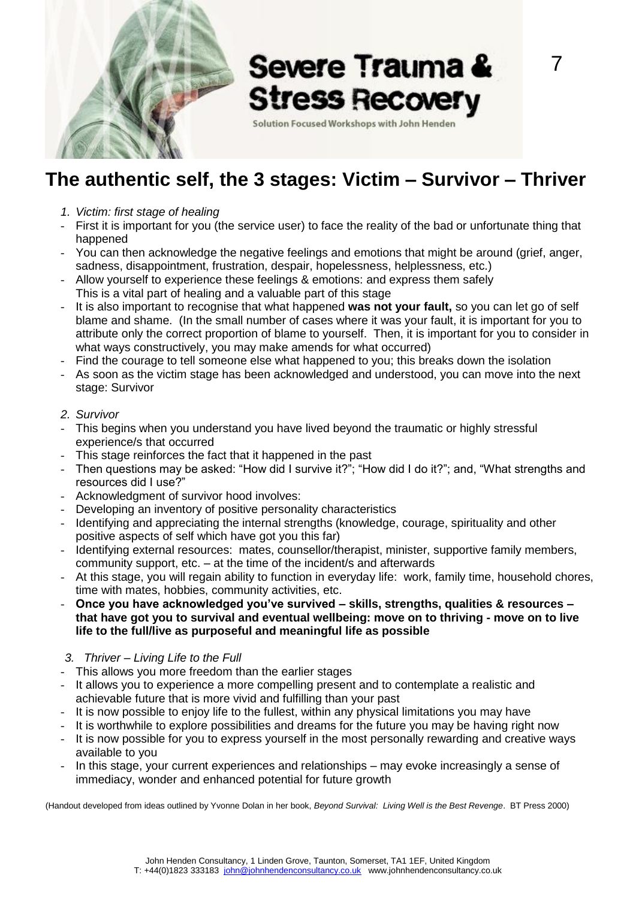

Solution Focused Workshops with John Henden

### **The authentic self, the 3 stages: Victim – Survivor – Thriver**

- *1. Victim: first stage of healing*
- First it is important for you (the service user) to face the reality of the bad or unfortunate thing that happened
- You can then acknowledge the negative feelings and emotions that might be around (grief, anger, sadness, disappointment, frustration, despair, hopelessness, helplessness, etc.)
- Allow yourself to experience these feelings & emotions: and express them safely
- This is a vital part of healing and a valuable part of this stage
- It is also important to recognise that what happened **was not your fault,** so you can let go of self blame and shame. (In the small number of cases where it was your fault, it is important for you to attribute only the correct proportion of blame to yourself. Then, it is important for you to consider in what ways constructively, you may make amends for what occurred)
- Find the courage to tell someone else what happened to you; this breaks down the isolation
- As soon as the victim stage has been acknowledged and understood, you can move into the next stage: Survivor

#### *2. Survivor*

- This begins when you understand you have lived beyond the traumatic or highly stressful experience/s that occurred
- This stage reinforces the fact that it happened in the past
- Then questions may be asked: "How did I survive it?"; "How did I do it?"; and, "What strengths and resources did I use?"
- Acknowledgment of survivor hood involves:
- Developing an inventory of positive personality characteristics
- Identifying and appreciating the internal strengths (knowledge, courage, spirituality and other positive aspects of self which have got you this far)
- Identifying external resources: mates, counsellor/therapist, minister, supportive family members, community support, etc. – at the time of the incident/s and afterwards
- At this stage, you will regain ability to function in everyday life: work, family time, household chores, time with mates, hobbies, community activities, etc.
- **Once you have acknowledged you've survived – skills, strengths, qualities & resources – that have got you to survival and eventual wellbeing: move on to thriving - move on to live life to the full/live as purposeful and meaningful life as possible**

#### *3. Thriver – Living Life to the Full*

- This allows you more freedom than the earlier stages
- It allows you to experience a more compelling present and to contemplate a realistic and achievable future that is more vivid and fulfilling than your past
- It is now possible to enjoy life to the fullest, within any physical limitations you may have
- It is worthwhile to explore possibilities and dreams for the future you may be having right now
- It is now possible for you to express yourself in the most personally rewarding and creative ways available to you
- In this stage, your current experiences and relationships may evoke increasingly a sense of immediacy, wonder and enhanced potential for future growth

(Handout developed from ideas outlined by Yvonne Dolan in her book, *Beyond Survival: Living Well is the Best Revenge*. BT Press 2000)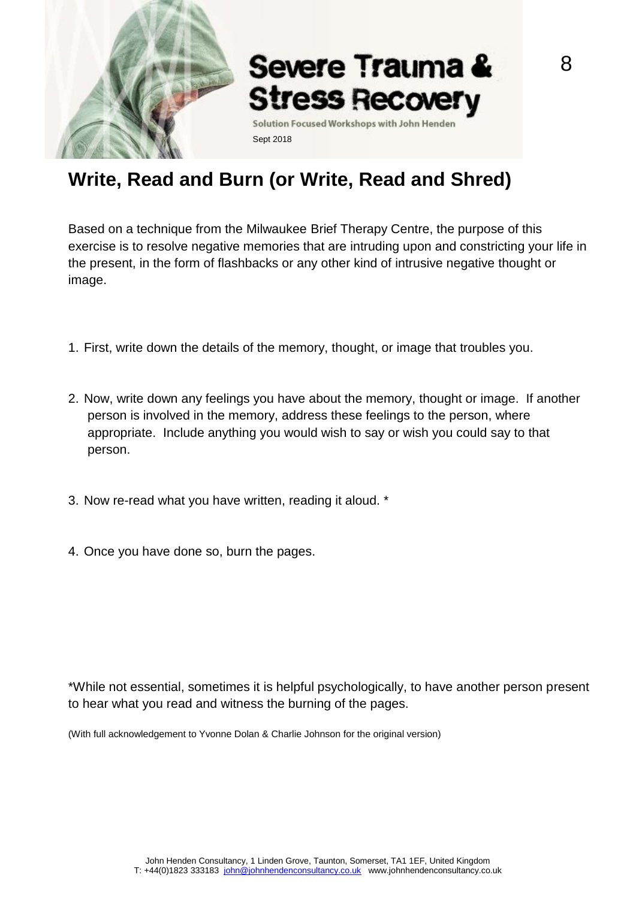

#### **Write, Read and Burn (or Write, Read and Shred)**

Based on a technique from the Milwaukee Brief Therapy Centre, the purpose of this exercise is to resolve negative memories that are intruding upon and constricting your life in the present, in the form of flashbacks or any other kind of intrusive negative thought or image.

8

- 1. First, write down the details of the memory, thought, or image that troubles you.
- 2. Now, write down any feelings you have about the memory, thought or image. If another person is involved in the memory, address these feelings to the person, where appropriate. Include anything you would wish to say or wish you could say to that person.
- 3. Now re-read what you have written, reading it aloud. \*
- 4. Once you have done so, burn the pages.

\*While not essential, sometimes it is helpful psychologically, to have another person present to hear what you read and witness the burning of the pages.

(With full acknowledgement to Yvonne Dolan & Charlie Johnson for the original version)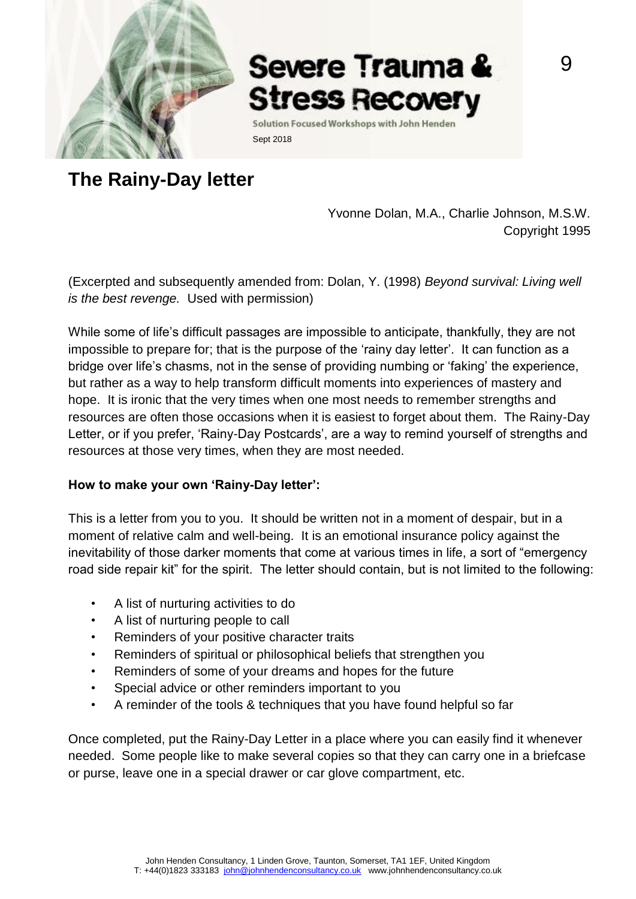



Solution Focused Workshops with John Henden Sept 2018

**The Rainy-Day letter**

Yvonne Dolan, M.A., Charlie Johnson, M.S.W. Copyright 1995

(Excerpted and subsequently amended from: Dolan, Y. (1998) *Beyond survival: Living well is the best revenge.* Used with permission)

While some of life's difficult passages are impossible to anticipate, thankfully, they are not impossible to prepare for; that is the purpose of the 'rainy day letter'. It can function as a bridge over life's chasms, not in the sense of providing numbing or 'faking' the experience, but rather as a way to help transform difficult moments into experiences of mastery and hope. It is ironic that the very times when one most needs to remember strengths and resources are often those occasions when it is easiest to forget about them. The Rainy-Day Letter, or if you prefer, 'Rainy-Day Postcards', are a way to remind yourself of strengths and resources at those very times, when they are most needed.

#### **How to make your own 'Rainy-Day letter':**

This is a letter from you to you. It should be written not in a moment of despair, but in a moment of relative calm and well-being. It is an emotional insurance policy against the inevitability of those darker moments that come at various times in life, a sort of "emergency road side repair kit" for the spirit. The letter should contain, but is not limited to the following:

- A list of nurturing activities to do
- A list of nurturing people to call
- Reminders of your positive character traits
- Reminders of spiritual or philosophical beliefs that strengthen you
- Reminders of some of your dreams and hopes for the future
- Special advice or other reminders important to you
- A reminder of the tools & techniques that you have found helpful so far

Once completed, put the Rainy-Day Letter in a place where you can easily find it whenever needed. Some people like to make several copies so that they can carry one in a briefcase or purse, leave one in a special drawer or car glove compartment, etc.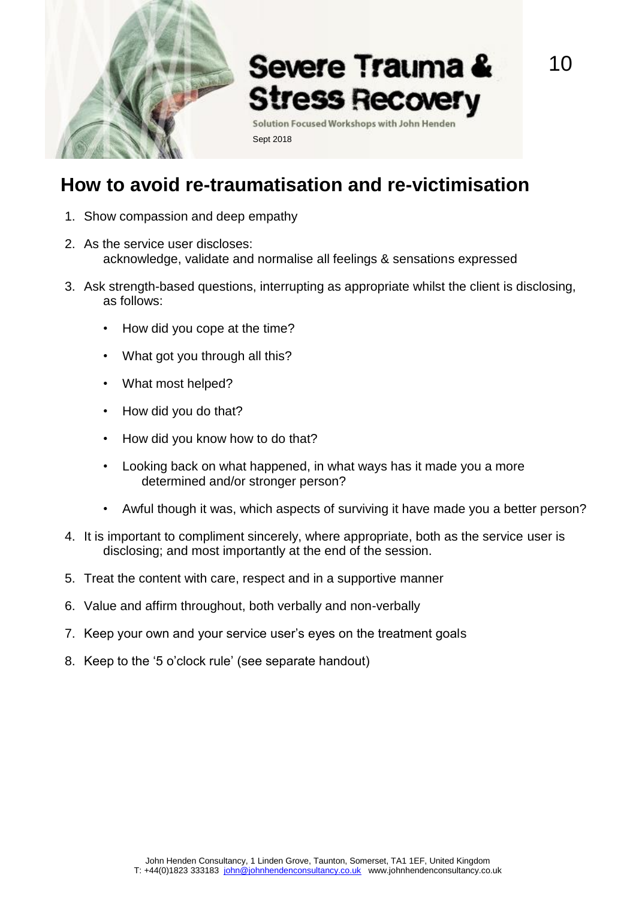

Solution Focused Workshops with John Henden Sept 2018

#### **How to avoid re-traumatisation and re-victimisation**

- 1. Show compassion and deep empathy
- 2. As the service user discloses: acknowledge, validate and normalise all feelings & sensations expressed
- 3. Ask strength-based questions, interrupting as appropriate whilst the client is disclosing, as follows:
	- How did you cope at the time?
	- What got you through all this?
	- What most helped?
	- How did you do that?
	- How did you know how to do that?
	- Looking back on what happened, in what ways has it made you a more determined and/or stronger person?
	- Awful though it was, which aspects of surviving it have made you a better person?
- 4. It is important to compliment sincerely, where appropriate, both as the service user is disclosing; and most importantly at the end of the session.
- 5. Treat the content with care, respect and in a supportive manner
- 6. Value and affirm throughout, both verbally and non-verbally
- 7. Keep your own and your service user's eyes on the treatment goals
- 8. Keep to the '5 o'clock rule' (see separate handout)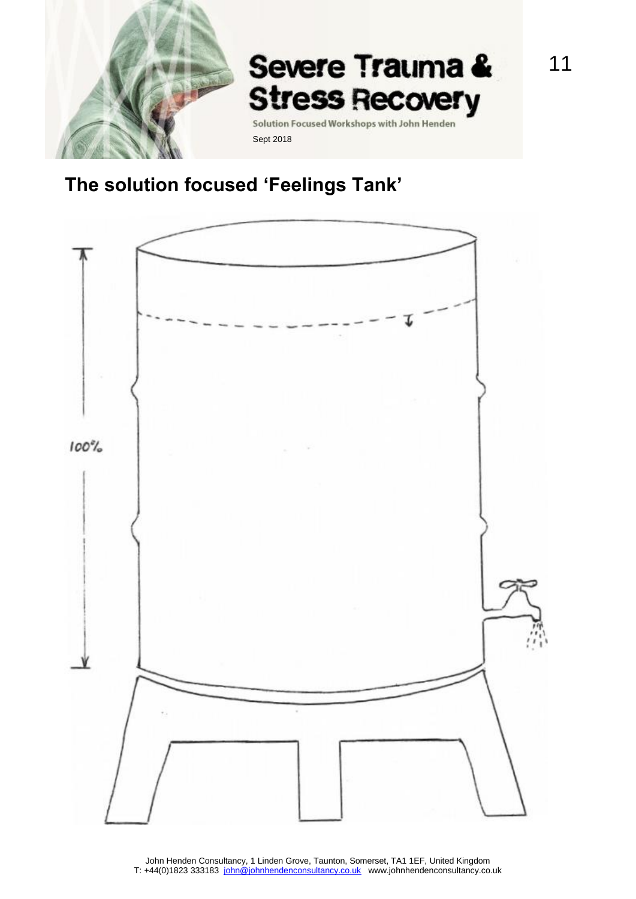

Solution Focused Workshops with John Henden Sept 2018

### **The solution focused 'Feelings Tank'**

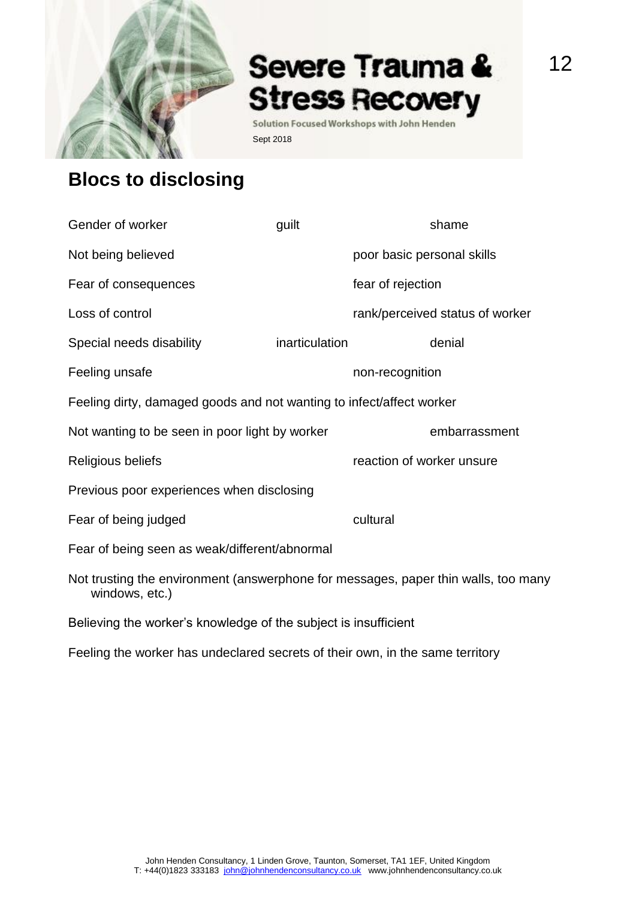

Solution Focused Workshops with John Henden Sept 2018

### **Blocs to disclosing**

| Gender of worker                                                                                     | guilt          |                            | shame                           |  |
|------------------------------------------------------------------------------------------------------|----------------|----------------------------|---------------------------------|--|
| Not being believed                                                                                   |                | poor basic personal skills |                                 |  |
| Fear of consequences                                                                                 |                | fear of rejection          |                                 |  |
| Loss of control                                                                                      |                |                            | rank/perceived status of worker |  |
| Special needs disability                                                                             | inarticulation |                            | denial                          |  |
| Feeling unsafe                                                                                       |                | non-recognition            |                                 |  |
| Feeling dirty, damaged goods and not wanting to infect/affect worker                                 |                |                            |                                 |  |
| Not wanting to be seen in poor light by worker                                                       |                |                            | embarrassment                   |  |
| Religious beliefs                                                                                    |                | reaction of worker unsure  |                                 |  |
| Previous poor experiences when disclosing                                                            |                |                            |                                 |  |
| Fear of being judged                                                                                 |                | cultural                   |                                 |  |
| Fear of being seen as weak/different/abnormal                                                        |                |                            |                                 |  |
| Not trusting the environment (answerphone for messages, paper thin walls, too many<br>windows, etc.) |                |                            |                                 |  |
| Believing the worker's knowledge of the subject is insufficient                                      |                |                            |                                 |  |

Feeling the worker has undeclared secrets of their own, in the same territory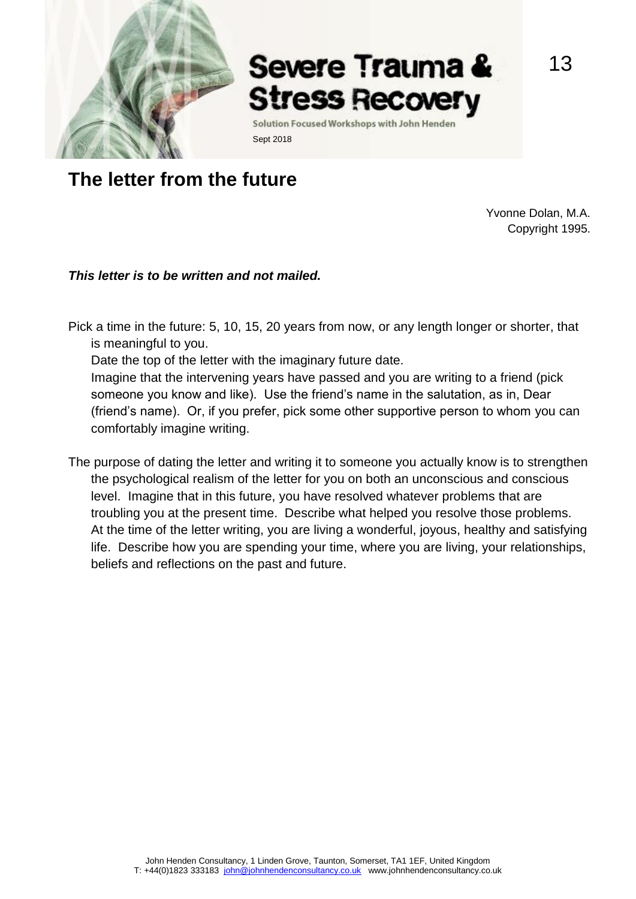

Solution Focused Workshops with John Henden Sept 2018

**The letter from the future**

Yvonne Dolan, M.A. Copyright 1995.

13

#### *This letter is to be written and not mailed.*

Pick a time in the future: 5, 10, 15, 20 years from now, or any length longer or shorter, that is meaningful to you.

Date the top of the letter with the imaginary future date.

Imagine that the intervening years have passed and you are writing to a friend (pick someone you know and like). Use the friend's name in the salutation, as in, Dear (friend's name). Or, if you prefer, pick some other supportive person to whom you can comfortably imagine writing.

The purpose of dating the letter and writing it to someone you actually know is to strengthen the psychological realism of the letter for you on both an unconscious and conscious level. Imagine that in this future, you have resolved whatever problems that are troubling you at the present time. Describe what helped you resolve those problems. At the time of the letter writing, you are living a wonderful, joyous, healthy and satisfying life. Describe how you are spending your time, where you are living, your relationships, beliefs and reflections on the past and future.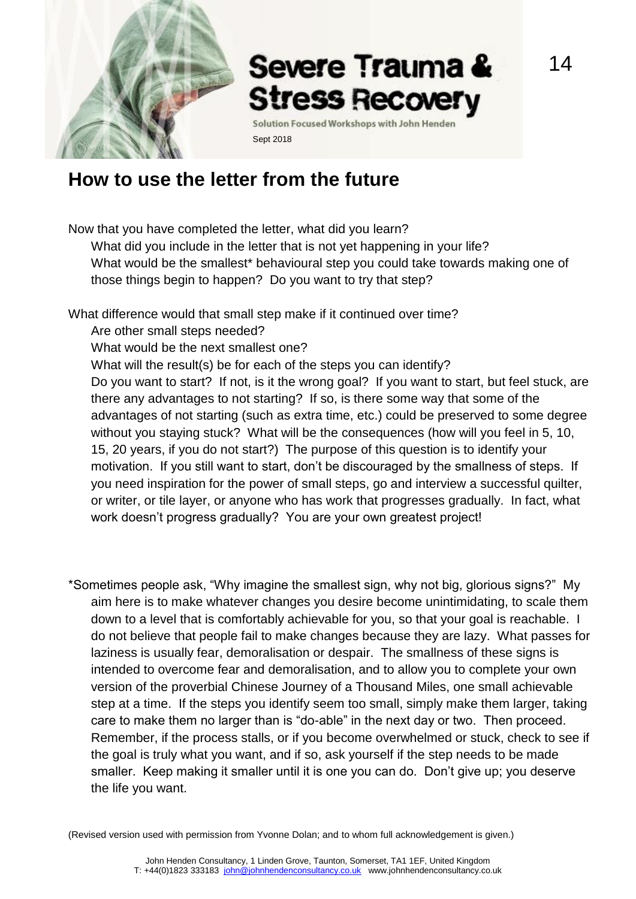

Solution Focused Workshops with John Henden Sept 2018

#### **How to use the letter from the future**

Now that you have completed the letter, what did you learn?

What did you include in the letter that is not yet happening in your life? What would be the smallest\* behavioural step you could take towards making one of those things begin to happen? Do you want to try that step?

What difference would that small step make if it continued over time?

Are other small steps needed?

What would be the next smallest one?

What will the result(s) be for each of the steps you can identify?

Do you want to start? If not, is it the wrong goal? If you want to start, but feel stuck, are there any advantages to not starting? If so, is there some way that some of the advantages of not starting (such as extra time, etc.) could be preserved to some degree without you staying stuck? What will be the consequences (how will you feel in 5, 10, 15, 20 years, if you do not start?) The purpose of this question is to identify your motivation. If you still want to start, don't be discouraged by the smallness of steps. If you need inspiration for the power of small steps, go and interview a successful quilter, or writer, or tile layer, or anyone who has work that progresses gradually. In fact, what work doesn't progress gradually? You are your own greatest project!

\*Sometimes people ask, "Why imagine the smallest sign, why not big, glorious signs?" My aim here is to make whatever changes you desire become unintimidating, to scale them down to a level that is comfortably achievable for you, so that your goal is reachable. I do not believe that people fail to make changes because they are lazy. What passes for laziness is usually fear, demoralisation or despair. The smallness of these signs is intended to overcome fear and demoralisation, and to allow you to complete your own version of the proverbial Chinese Journey of a Thousand Miles, one small achievable step at a time. If the steps you identify seem too small, simply make them larger, taking care to make them no larger than is "do-able" in the next day or two. Then proceed. Remember, if the process stalls, or if you become overwhelmed or stuck, check to see if the goal is truly what you want, and if so, ask yourself if the step needs to be made smaller. Keep making it smaller until it is one you can do. Don't give up; you deserve the life you want.

(Revised version used with permission from Yvonne Dolan; and to whom full acknowledgement is given.)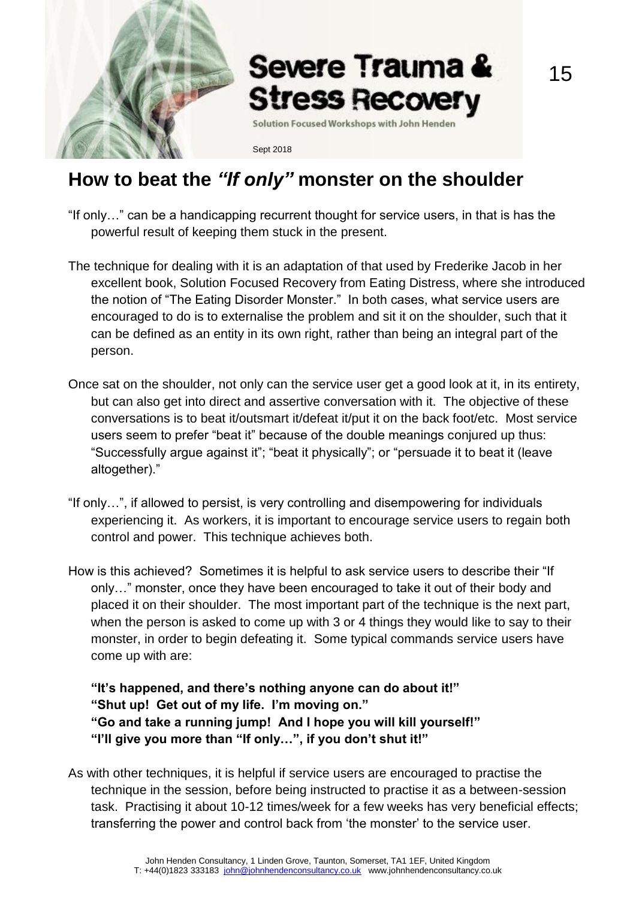

#### **How to beat the** *"If only"* **monster on the shoulder**

- "If only…" can be a handicapping recurrent thought for service users, in that is has the powerful result of keeping them stuck in the present.
- The technique for dealing with it is an adaptation of that used by Frederike Jacob in her excellent book, Solution Focused Recovery from Eating Distress, where she introduced the notion of "The Eating Disorder Monster." In both cases, what service users are encouraged to do is to externalise the problem and sit it on the shoulder, such that it can be defined as an entity in its own right, rather than being an integral part of the person.
- Once sat on the shoulder, not only can the service user get a good look at it, in its entirety, but can also get into direct and assertive conversation with it. The objective of these conversations is to beat it/outsmart it/defeat it/put it on the back foot/etc. Most service users seem to prefer "beat it" because of the double meanings conjured up thus: "Successfully argue against it"; "beat it physically"; or "persuade it to beat it (leave altogether)."
- "If only…", if allowed to persist, is very controlling and disempowering for individuals experiencing it. As workers, it is important to encourage service users to regain both control and power. This technique achieves both.
- How is this achieved? Sometimes it is helpful to ask service users to describe their "If only…" monster, once they have been encouraged to take it out of their body and placed it on their shoulder. The most important part of the technique is the next part, when the person is asked to come up with 3 or 4 things they would like to say to their monster, in order to begin defeating it. Some typical commands service users have come up with are:

**"It's happened, and there's nothing anyone can do about it!" "Shut up! Get out of my life. I'm moving on." "Go and take a running jump! And I hope you will kill yourself!" "I'll give you more than "If only…", if you don't shut it!"**

As with other techniques, it is helpful if service users are encouraged to practise the technique in the session, before being instructed to practise it as a between-session task. Practising it about 10-12 times/week for a few weeks has very beneficial effects; transferring the power and control back from 'the monster' to the service user.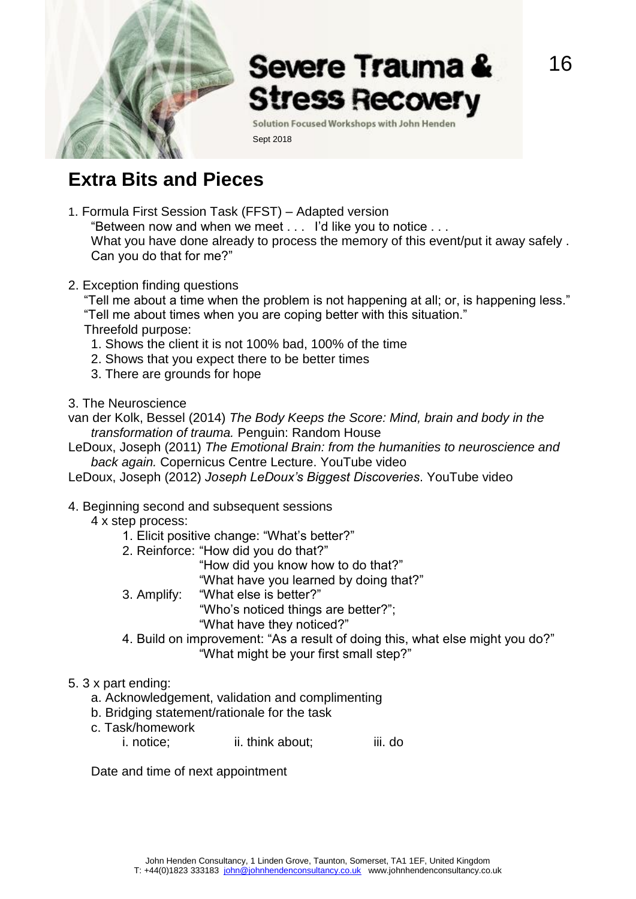

Solution Focused Workshops with John Henden Sept 2018

### **Extra Bits and Pieces**

- 1. Formula First Session Task (FFST) Adapted version "Between now and when we meet . . . I'd like you to notice . . . What you have done already to process the memory of this event/put it away safely. Can you do that for me?"
- 2. Exception finding questions

"Tell me about a time when the problem is not happening at all; or, is happening less." "Tell me about times when you are coping better with this situation."

Threefold purpose:

- 1. Shows the client it is not 100% bad, 100% of the time
- 2. Shows that you expect there to be better times
- 3. There are grounds for hope

3. The Neuroscience

van der Kolk, Bessel (2014) *The Body Keeps the Score: Mind, brain and body in the transformation of trauma.* Penguin: Random House

LeDoux, Joseph (2011) *The Emotional Brain: from the humanities to neuroscience and back again.* Copernicus Centre Lecture. YouTube video

LeDoux, Joseph (2012) *Joseph LeDoux's Biggest Discoveries*. YouTube video

4. Beginning second and subsequent sessions

4 x step process:

- 1. Elicit positive change: "What's better?"
- 2. Reinforce: "How did you do that?"

"How did you know how to do that?"

"What have you learned by doing that?"

3. Amplify: "What else is better?"

"Who's noticed things are better?"; "What have they noticed?"

4. Build on improvement: "As a result of doing this, what else might you do?" "What might be your first small step?"

#### 5. 3 x part ending:

- a. Acknowledgement, validation and complimenting
- b. Bridging statement/rationale for the task
- c. Task/homework
	- i. notice: ii. think about: iii. do

Date and time of next appointment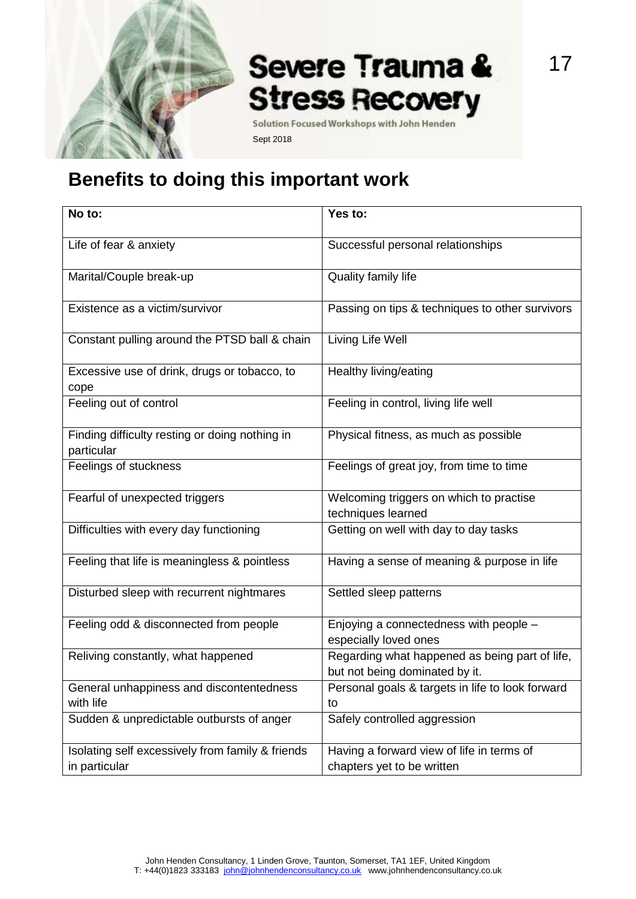

17

Solution Focused Workshops with John Henden Sept 2018

## **Benefits to doing this important work**

| No to:                                                            | Yes to:                                                                          |
|-------------------------------------------------------------------|----------------------------------------------------------------------------------|
| Life of fear & anxiety                                            | Successful personal relationships                                                |
| Marital/Couple break-up                                           | Quality family life                                                              |
| Existence as a victim/survivor                                    | Passing on tips & techniques to other survivors                                  |
| Constant pulling around the PTSD ball & chain                     | Living Life Well                                                                 |
| Excessive use of drink, drugs or tobacco, to<br>cope              | Healthy living/eating                                                            |
| Feeling out of control                                            | Feeling in control, living life well                                             |
| Finding difficulty resting or doing nothing in<br>particular      | Physical fitness, as much as possible                                            |
| Feelings of stuckness                                             | Feelings of great joy, from time to time                                         |
| Fearful of unexpected triggers                                    | Welcoming triggers on which to practise<br>techniques learned                    |
| Difficulties with every day functioning                           | Getting on well with day to day tasks                                            |
| Feeling that life is meaningless & pointless                      | Having a sense of meaning & purpose in life                                      |
| Disturbed sleep with recurrent nightmares                         | Settled sleep patterns                                                           |
| Feeling odd & disconnected from people                            | Enjoying a connectedness with people -<br>especially loved ones                  |
| Reliving constantly, what happened                                | Regarding what happened as being part of life,<br>but not being dominated by it. |
| General unhappiness and discontentedness<br>with life             | Personal goals & targets in life to look forward<br>to                           |
| Sudden & unpredictable outbursts of anger                         | Safely controlled aggression                                                     |
| Isolating self excessively from family & friends<br>in particular | Having a forward view of life in terms of<br>chapters yet to be written          |